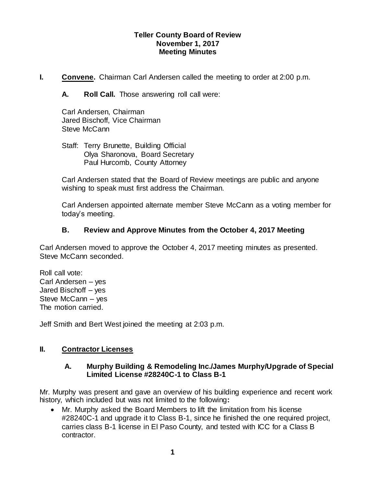### **Teller County Board of Review November 1, 2017 Meeting Minutes**

**I. Convene.** Chairman Carl Andersen called the meeting to order at 2:00 p.m.

**A. Roll Call.** Those answering roll call were:

Carl Andersen, Chairman Jared Bischoff, Vice Chairman Steve McCann

Staff: Terry Brunette, Building Official Olya Sharonova, Board Secretary Paul Hurcomb, County Attorney

Carl Andersen stated that the Board of Review meetings are public and anyone wishing to speak must first address the Chairman.

Carl Andersen appointed alternate member Steve McCann as a voting member for today's meeting.

# **B. Review and Approve Minutes from the October 4, 2017 Meeting**

Carl Andersen moved to approve the October 4, 2017 meeting minutes as presented. Steve McCann seconded.

Roll call vote: Carl Andersen – yes Jared Bischoff – yes Steve McCann – yes The motion carried.

Jeff Smith and Bert West joined the meeting at 2:03 p.m.

# **II. Contractor Licenses**

### **A. Murphy Building & Remodeling Inc./James Murphy/Upgrade of Special Limited License #28240C-1 to Class B-1**

Mr. Murphy was present and gave an overview of his building experience and recent work history, which included but was not limited to the following**:**

 Mr. Murphy asked the Board Members to lift the limitation from his license #28240C-1 and upgrade it to Class B-1, since he finished the one required project, carries class B-1 license in El Paso County, and tested with ICC for a Class B contractor.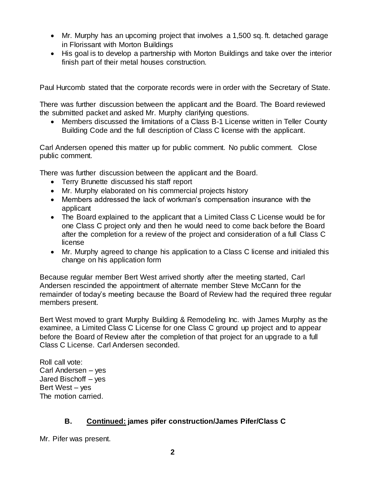- Mr. Murphy has an upcoming project that involves a 1,500 sq. ft. detached garage in Florissant with Morton Buildings
- His goal is to develop a partnership with Morton Buildings and take over the interior finish part of their metal houses construction.

Paul Hurcomb stated that the corporate records were in order with the Secretary of State.

There was further discussion between the applicant and the Board. The Board reviewed the submitted packet and asked Mr. Murphy clarifying questions.

 Members discussed the limitations of a Class B-1 License written in Teller County Building Code and the full description of Class C license with the applicant.

Carl Andersen opened this matter up for public comment. No public comment. Close public comment.

There was further discussion between the applicant and the Board.

- Terry Brunette discussed his staff report
- Mr. Murphy elaborated on his commercial projects history
- Members addressed the lack of workman's compensation insurance with the applicant
- The Board explained to the applicant that a Limited Class C License would be for one Class C project only and then he would need to come back before the Board after the completion for a review of the project and consideration of a full Class C license
- Mr. Murphy agreed to change his application to a Class C license and initialed this change on his application form

Because regular member Bert West arrived shortly after the meeting started, Carl Andersen rescinded the appointment of alternate member Steve McCann for the remainder of today's meeting because the Board of Review had the required three regular members present.

Bert West moved to grant Murphy Building & Remodeling Inc. with James Murphy as the examinee, a Limited Class C License for one Class C ground up project and to appear before the Board of Review after the completion of that project for an upgrade to a full Class C License. Carl Andersen seconded.

Roll call vote: Carl Andersen – yes Jared Bischoff – yes Bert West – yes The motion carried.

# **B. Continued: james pifer construction/James Pifer/Class C**

Mr. Pifer was present.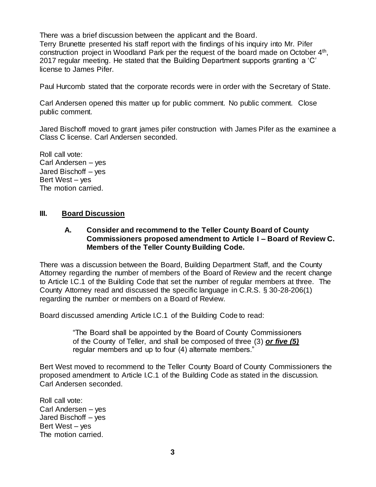There was a brief discussion between the applicant and the Board.

Terry Brunette presented his staff report with the findings of his inquiry into Mr. Pifer construction project in Woodland Park per the request of the board made on October  $4<sup>th</sup>$ , 2017 regular meeting. He stated that the Building Department supports granting a 'C' license to James Pifer.

Paul Hurcomb stated that the corporate records were in order with the Secretary of State.

Carl Andersen opened this matter up for public comment. No public comment. Close public comment.

Jared Bischoff moved to grant james pifer construction with James Pifer as the examinee a Class C license. Carl Andersen seconded.

Roll call vote: Carl Andersen – yes Jared Bischoff – yes Bert West – yes The motion carried.

### **III. Board Discussion**

### **A. Consider and recommend to the Teller County Board of County Commissioners proposed amendment to Article I – Board of Review C. Members of the Teller County Building Code.**

There was a discussion between the Board, Building Department Staff, and the County Attorney regarding the number of members of the Board of Review and the recent change to Article I.C.1 of the Building Code that set the number of regular members at three. The County Attorney read and discussed the specific language in C.R.S. § 30-28-206(1) regarding the number or members on a Board of Review.

Board discussed amending Article I.C.1 of the Building Code to read:

"The Board shall be appointed by the Board of County Commissioners of the County of Teller, and shall be composed of three (3) *or five (5)* regular members and up to four (4) alternate members."

Bert West moved to recommend to the Teller County Board of County Commissioners the proposed amendment to Article I.C.1 of the Building Code as stated in the discussion. Carl Andersen seconded.

Roll call vote: Carl Andersen – yes Jared Bischoff – yes Bert West – yes The motion carried.